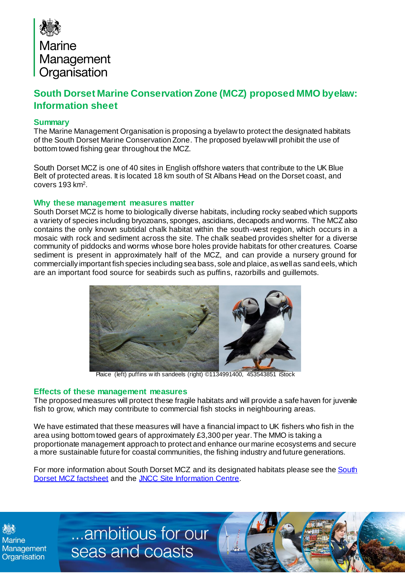

## **South Dorset Marine Conservation Zone (MCZ) proposed MMO byelaw: Information sheet**

## **Summary**

The Marine Management Organisation is proposing a byelaw to protect the designated habitats of the South Dorset Marine Conservation Zone. The proposed byelaw will prohibit the use of bottom towed fishing gear throughout the MCZ.

South Dorset MCZ is one of 40 sites in English offshore waters that contribute to the UK Blue Belt of protected areas. It is located 18 km south of St Albans Head on the Dorset coast, and covers 193 km<sup>2</sup> .

## **Why these management measures matter**

South Dorset MCZ is home to biologically diverse habitats, including rocky seabed which supports a variety of species including bryozoans, sponges, ascidians, decapods and worms. The MCZ also contains the only known subtidal chalk habitat within the south-west region, which occurs in a mosaic with rock and sediment across the site. The chalk seabed provides shelter for a diverse community of piddocks and worms whose bore holes provide habitats for other creatures. Coarse sediment is present in approximately half of the MCZ, and can provide a nursery ground for commercially important fish species including sea bass, sole and plaice, as well as sand eels, which are an important food source for seabirds such as puffins, razorbills and guillemots.



Plaice (left) puffins w ith sandeels (right) ©1134991400, 453543851 iStock

## **Effects of these management measures**

The proposed measures will protect these fragile habitats and will provide a safe haven for juvenile fish to grow, which may contribute to commercial fish stocks in neighbouring areas.

We have estimated that these measures will have a financial impact to UK fishers who fish in the area using bottom towed gears of approximately £3,300 per year.The MMO is taking a proportionate management approach to protect and enhance our marine ecosystems and secure a more sustainable future for coastal communities, the fishing industry and future generations.

For more information about South Dorset MCZ and its designated habitats please see the [South](https://assets.publishing.service.gov.uk/government/uploads/system/uploads/attachment_data/file/915683/mcz-south-dorset-2019.pdf)  [Dorset MCZ factsheet](https://assets.publishing.service.gov.uk/government/uploads/system/uploads/attachment_data/file/915683/mcz-south-dorset-2019.pdf) and th[e JNCC Site Information Centre](https://jncc.gov.uk/our-work/south-dorset-mpa/).

**Marine** Management Organisation

...ambitious for our seas and coasts